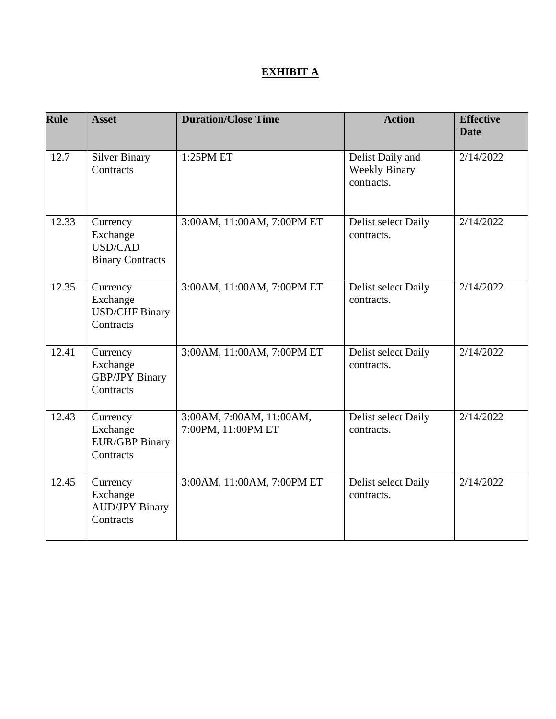# **EXHIBIT A**

| <b>Rule</b> | <b>Asset</b>                                                      | <b>Duration/Close Time</b>                     | <b>Action</b>                                          | <b>Effective</b><br><b>Date</b> |
|-------------|-------------------------------------------------------------------|------------------------------------------------|--------------------------------------------------------|---------------------------------|
| 12.7        | <b>Silver Binary</b><br>Contracts                                 | 1:25PM ET                                      | Delist Daily and<br><b>Weekly Binary</b><br>contracts. | 2/14/2022                       |
| 12.33       | Currency<br>Exchange<br><b>USD/CAD</b><br><b>Binary Contracts</b> | 3:00AM, 11:00AM, 7:00PM ET                     | Delist select Daily<br>contracts.                      | 2/14/2022                       |
| 12.35       | Currency<br>Exchange<br><b>USD/CHF Binary</b><br>Contracts        | 3:00AM, 11:00AM, 7:00PM ET                     | Delist select Daily<br>contracts.                      | 2/14/2022                       |
| 12.41       | Currency<br>Exchange<br><b>GBP/JPY Binary</b><br>Contracts        | 3:00AM, 11:00AM, 7:00PM ET                     | Delist select Daily<br>contracts.                      | 2/14/2022                       |
| 12.43       | Currency<br>Exchange<br><b>EUR/GBP Binary</b><br>Contracts        | 3:00AM, 7:00AM, 11:00AM,<br>7:00PM, 11:00PM ET | Delist select Daily<br>contracts.                      | 2/14/2022                       |
| 12.45       | Currency<br>Exchange<br><b>AUD/JPY Binary</b><br>Contracts        | 3:00AM, 11:00AM, 7:00PM ET                     | Delist select Daily<br>contracts.                      | 2/14/2022                       |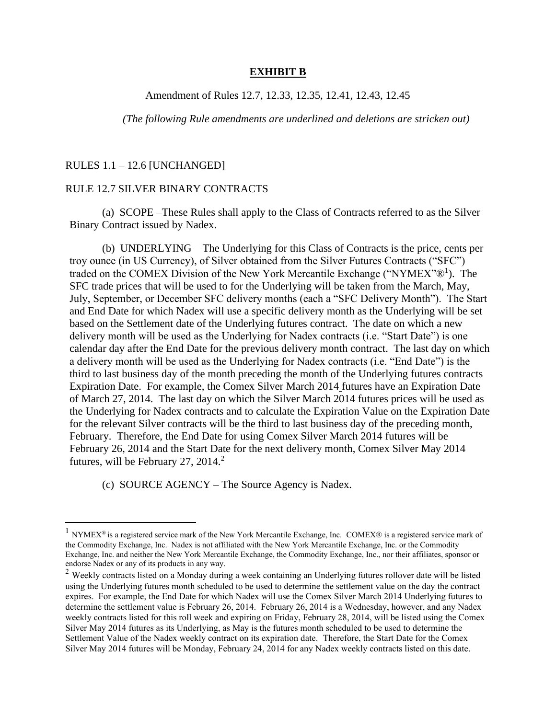#### **EXHIBIT B**

### Amendment of Rules 12.7, 12.33, 12.35, 12.41, 12.43, 12.45

*(The following Rule amendments are underlined and deletions are stricken out)*

#### RULES 1.1 – 12.6 [UNCHANGED]

#### RULE 12.7 SILVER BINARY CONTRACTS

(a) SCOPE –These Rules shall apply to the Class of Contracts referred to as the Silver Binary Contract issued by Nadex.

(b) UNDERLYING – The Underlying for this Class of Contracts is the price, cents per troy ounce (in US Currency), of Silver obtained from the Silver Futures Contracts ("SFC") traded on the COMEX Division of the New York Mercantile Exchange ("NYMEX"<sup>®1</sup>). The SFC trade prices that will be used to for the Underlying will be taken from the March, May, July, September, or December SFC delivery months (each a "SFC Delivery Month"). The Start and End Date for which Nadex will use a specific delivery month as the Underlying will be set based on the Settlement date of the Underlying futures contract. The date on which a new delivery month will be used as the Underlying for Nadex contracts (i.e. "Start Date") is one calendar day after the End Date for the previous delivery month contract. The last day on which a delivery month will be used as the Underlying for Nadex contracts (i.e. "End Date") is the third to last business day of the month preceding the month of the Underlying futures contracts Expiration Date. For example, the Comex Silver March 2014 futures have an Expiration Date of March 27, 2014. The last day on which the Silver March 2014 futures prices will be used as the Underlying for Nadex contracts and to calculate the Expiration Value on the Expiration Date for the relevant Silver contracts will be the third to last business day of the preceding month, February. Therefore, the End Date for using Comex Silver March 2014 futures will be February 26, 2014 and the Start Date for the next delivery month, Comex Silver May 2014 futures, will be February 27, 2014. $^2$ 

(c) SOURCE AGENCY – The Source Agency is Nadex.

NYMEX<sup>®</sup> is a registered service mark of the New York Mercantile Exchange, Inc. COMEX® is a registered service mark of the Commodity Exchange, Inc. Nadex is not affiliated with the New York Mercantile Exchange, Inc. or the Commodity Exchange, Inc. and neither the New York Mercantile Exchange, the Commodity Exchange, Inc., nor their affiliates, sponsor or endorse Nadex or any of its products in any way.

 $2$  Weekly contracts listed on a Monday during a week containing an Underlying futures rollover date will be listed using the Underlying futures month scheduled to be used to determine the settlement value on the day the contract expires. For example, the End Date for which Nadex will use the Comex Silver March 2014 Underlying futures to determine the settlement value is February 26, 2014. February 26, 2014 is a Wednesday, however, and any Nadex weekly contracts listed for this roll week and expiring on Friday, February 28, 2014, will be listed using the Comex Silver May 2014 futures as its Underlying, as May is the futures month scheduled to be used to determine the Settlement Value of the Nadex weekly contract on its expiration date. Therefore, the Start Date for the Comex Silver May 2014 futures will be Monday, February 24, 2014 for any Nadex weekly contracts listed on this date.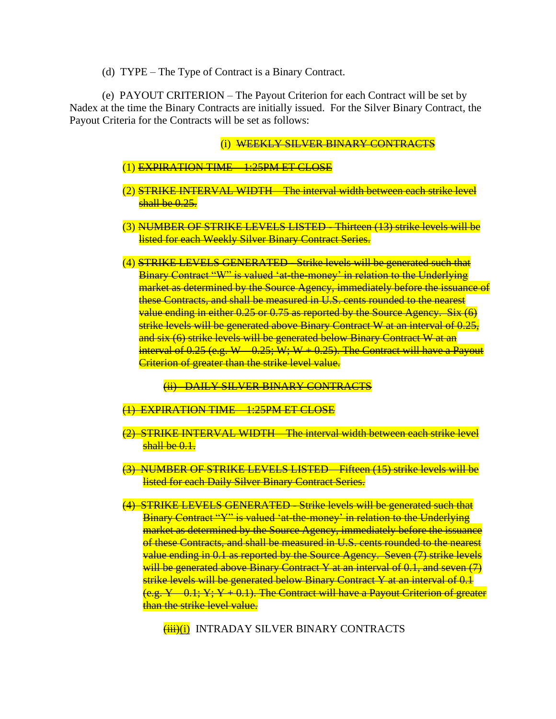(d) TYPE – The Type of Contract is a Binary Contract.

(e) PAYOUT CRITERION – The Payout Criterion for each Contract will be set by Nadex at the time the Binary Contracts are initially issued. For the Silver Binary Contract, the Payout Criteria for the Contracts will be set as follows:

#### (i) WEEKLY SILVER BINARY CONTRACTS

- (1) EXPIRATION TIME 1:25PM ET CLOSE
- (2) STRIKE INTERVAL WIDTH The interval width between each strike level shall be 0.25.
- (3) NUMBER OF STRIKE LEVELS LISTED Thirteen (13) strike levels will be listed for each Weekly Silver Binary Contract Series.
- (4) STRIKE LEVELS GENERATED Strike levels will be generated such that Binary Contract "W" is valued 'at-the-money' in relation to the Underlying market as determined by the Source Agency, immediately before the issuance of these Contracts, and shall be measured in U.S. cents rounded to the nearest value ending in either 0.25 or 0.75 as reported by the Source Agency. Six (6) strike levels will be generated above Binary Contract W at an interval of 0.25, and six (6) strike levels will be generated below Binary Contract W at an interval of  $0.25$  (e.g. W  $-0.25$ ; W; W  $+0.25$ ). The Contract will have a Payout Criterion of greater than the strike level value.

(ii) DAILY SILVER BINARY CONTRACTS

- (1) EXPIRATION TIME 1:25PM ET CLOSE
- (2) STRIKE INTERVAL WIDTH The interval width between each strike level shall be  $0.1$ .
- (3) NUMBER OF STRIKE LEVELS LISTED Fifteen (15) strike levels will be listed for each Daily Silver Binary Contract Series.
- (4) STRIKE LEVELS GENERATED Strike levels will be generated such that Binary Contract "Y" is valued 'at-the-money' in relation to the Underlying market as determined by the Source Agency, immediately before the issuance of these Contracts, and shall be measured in U.S. cents rounded to the nearest value ending in 0.1 as reported by the Source Agency. Seven (7) strike levels will be generated above Binary Contract Y at an interval of 0.1, and seven (7) strike levels will be generated below Binary Contract Y at an interval of 0.1  $(e.g. Y - 0.1; Y; Y + 0.1)$ . The Contract will have a Payout Criterion of greater than the strike level value.

(iii)(i) INTRADAY SILVER BINARY CONTRACTS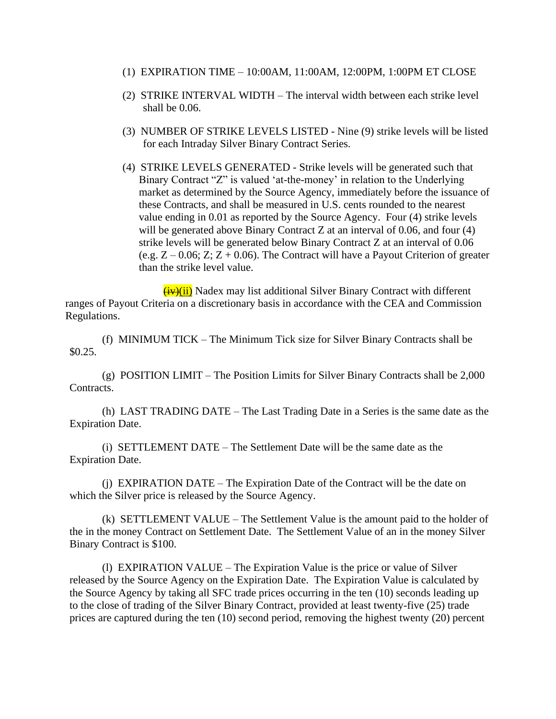- (1) EXPIRATION TIME 10:00AM, 11:00AM, 12:00PM, 1:00PM ET CLOSE
- (2) STRIKE INTERVAL WIDTH The interval width between each strike level shall be 0.06.
- (3) NUMBER OF STRIKE LEVELS LISTED Nine (9) strike levels will be listed for each Intraday Silver Binary Contract Series.
- (4) STRIKE LEVELS GENERATED Strike levels will be generated such that Binary Contract "Z" is valued 'at-the-money' in relation to the Underlying market as determined by the Source Agency, immediately before the issuance of these Contracts, and shall be measured in U.S. cents rounded to the nearest value ending in 0.01 as reported by the Source Agency. Four (4) strike levels will be generated above Binary Contract Z at an interval of 0.06, and four (4) strike levels will be generated below Binary Contract Z at an interval of 0.06 (e.g.  $Z - 0.06$ ; Z;  $Z + 0.06$ ). The Contract will have a Payout Criterion of greater than the strike level value.

 $(iy)(ii)$  Nadex may list additional Silver Binary Contract with different ranges of Payout Criteria on a discretionary basis in accordance with the CEA and Commission Regulations.

(f) MINIMUM TICK – The Minimum Tick size for Silver Binary Contracts shall be \$0.25.

(g) POSITION LIMIT – The Position Limits for Silver Binary Contracts shall be 2,000 Contracts.

(h) LAST TRADING DATE – The Last Trading Date in a Series is the same date as the Expiration Date.

(i) SETTLEMENT DATE – The Settlement Date will be the same date as the Expiration Date.

(j) EXPIRATION DATE – The Expiration Date of the Contract will be the date on which the Silver price is released by the Source Agency.

(k) SETTLEMENT VALUE – The Settlement Value is the amount paid to the holder of the in the money Contract on Settlement Date. The Settlement Value of an in the money Silver Binary Contract is \$100.

(l) EXPIRATION VALUE – The Expiration Value is the price or value of Silver released by the Source Agency on the Expiration Date. The Expiration Value is calculated by the Source Agency by taking all SFC trade prices occurring in the ten (10) seconds leading up to the close of trading of the Silver Binary Contract, provided at least twenty-five (25) trade prices are captured during the ten (10) second period, removing the highest twenty (20) percent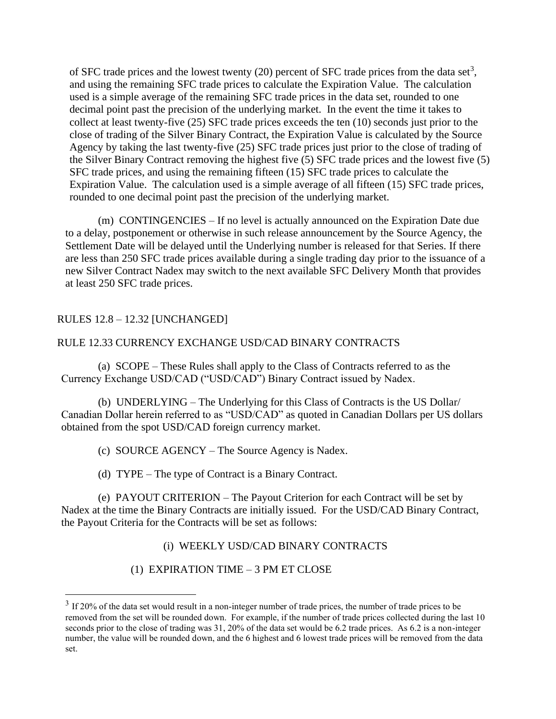of SFC trade prices and the lowest twenty  $(20)$  percent of SFC trade prices from the data set<sup>3</sup>, and using the remaining SFC trade prices to calculate the Expiration Value. The calculation used is a simple average of the remaining SFC trade prices in the data set, rounded to one decimal point past the precision of the underlying market. In the event the time it takes to collect at least twenty-five (25) SFC trade prices exceeds the ten (10) seconds just prior to the close of trading of the Silver Binary Contract, the Expiration Value is calculated by the Source Agency by taking the last twenty-five (25) SFC trade prices just prior to the close of trading of the Silver Binary Contract removing the highest five (5) SFC trade prices and the lowest five (5) SFC trade prices, and using the remaining fifteen (15) SFC trade prices to calculate the Expiration Value. The calculation used is a simple average of all fifteen (15) SFC trade prices, rounded to one decimal point past the precision of the underlying market.

(m) CONTINGENCIES – If no level is actually announced on the Expiration Date due to a delay, postponement or otherwise in such release announcement by the Source Agency, the Settlement Date will be delayed until the Underlying number is released for that Series. If there are less than 250 SFC trade prices available during a single trading day prior to the issuance of a new Silver Contract Nadex may switch to the next available SFC Delivery Month that provides at least 250 SFC trade prices.

# RULES 12.8 – 12.32 [UNCHANGED]

### RULE 12.33 CURRENCY EXCHANGE USD/CAD BINARY CONTRACTS

(a) SCOPE – These Rules shall apply to the Class of Contracts referred to as the Currency Exchange USD/CAD ("USD/CAD") Binary Contract issued by Nadex.

(b) UNDERLYING – The Underlying for this Class of Contracts is the US Dollar/ Canadian Dollar herein referred to as "USD/CAD" as quoted in Canadian Dollars per US dollars obtained from the spot USD/CAD foreign currency market.

(c) SOURCE AGENCY – The Source Agency is Nadex.

(d) TYPE – The type of Contract is a Binary Contract.

(e) PAYOUT CRITERION – The Payout Criterion for each Contract will be set by Nadex at the time the Binary Contracts are initially issued. For the USD/CAD Binary Contract, the Payout Criteria for the Contracts will be set as follows:

(i) WEEKLY USD/CAD BINARY CONTRACTS

(1) EXPIRATION TIME – 3 PM ET CLOSE

 $3$  If 20% of the data set would result in a non-integer number of trade prices, the number of trade prices to be removed from the set will be rounded down. For example, if the number of trade prices collected during the last 10 seconds prior to the close of trading was 31, 20% of the data set would be 6.2 trade prices. As 6.2 is a non-integer number, the value will be rounded down, and the 6 highest and 6 lowest trade prices will be removed from the data set.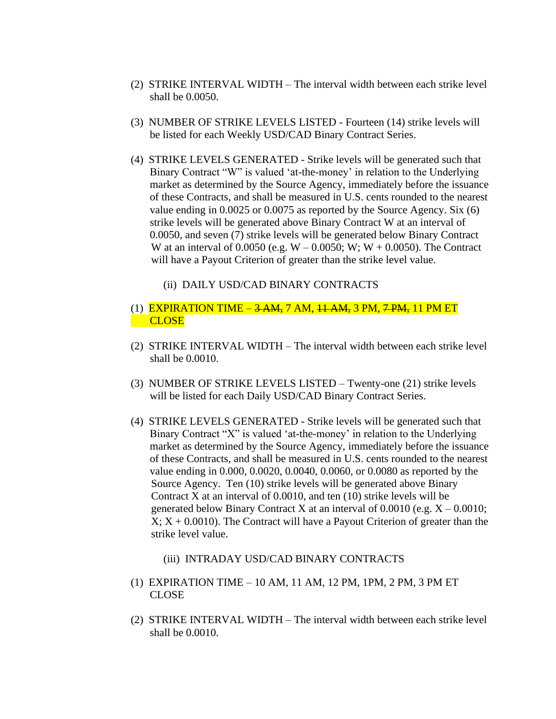- (2) STRIKE INTERVAL WIDTH The interval width between each strike level shall be 0.0050.
- (3) NUMBER OF STRIKE LEVELS LISTED Fourteen (14) strike levels will be listed for each Weekly USD/CAD Binary Contract Series.
- (4) STRIKE LEVELS GENERATED Strike levels will be generated such that Binary Contract "W" is valued 'at-the-money' in relation to the Underlying market as determined by the Source Agency, immediately before the issuance of these Contracts, and shall be measured in U.S. cents rounded to the nearest value ending in 0.0025 or 0.0075 as reported by the Source Agency. Six (6) strike levels will be generated above Binary Contract W at an interval of 0.0050, and seven (7) strike levels will be generated below Binary Contract W at an interval of 0.0050 (e.g.  $W - 0.0050$ ; W;  $W + 0.0050$ ). The Contract will have a Payout Criterion of greater than the strike level value.
	- (ii) DAILY USD/CAD BINARY CONTRACTS
- (1) EXPIRATION TIME <del>3 AM,</del> 7 AM, <del>11 AM,</del> 3 PM, <del>7 PM,</del> 11 PM ET **CLOSE**
- (2) STRIKE INTERVAL WIDTH The interval width between each strike level shall be 0.0010.
- (3) NUMBER OF STRIKE LEVELS LISTED Twenty-one (21) strike levels will be listed for each Daily USD/CAD Binary Contract Series.
- (4) STRIKE LEVELS GENERATED Strike levels will be generated such that Binary Contract "X" is valued 'at-the-money' in relation to the Underlying market as determined by the Source Agency, immediately before the issuance of these Contracts, and shall be measured in U.S. cents rounded to the nearest value ending in 0.000, 0.0020, 0.0040, 0.0060, or 0.0080 as reported by the Source Agency. Ten (10) strike levels will be generated above Binary Contract X at an interval of 0.0010, and ten (10) strike levels will be generated below Binary Contract X at an interval of  $0.0010$  (e.g.  $X - 0.0010$ ;  $X$ ;  $X + 0.0010$ ). The Contract will have a Payout Criterion of greater than the strike level value.
	- (iii) INTRADAY USD/CAD BINARY CONTRACTS
- (1) EXPIRATION TIME 10 AM, 11 AM, 12 PM, 1PM, 2 PM, 3 PM ET CLOSE
- (2) STRIKE INTERVAL WIDTH The interval width between each strike level shall be 0.0010.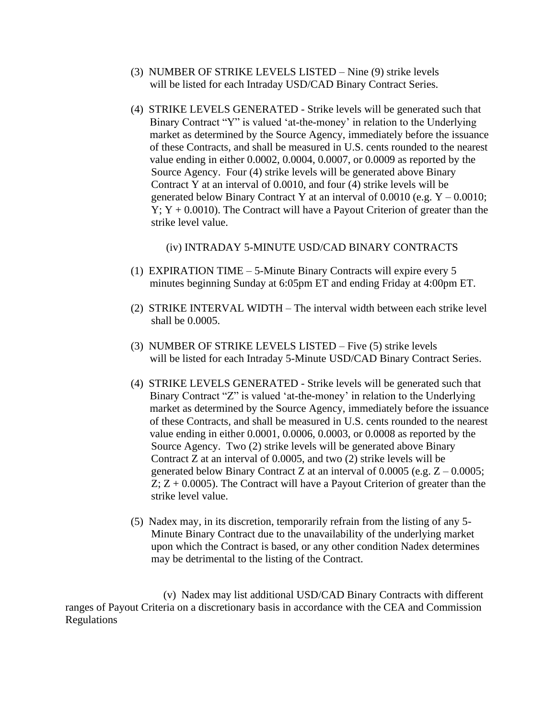- (3) NUMBER OF STRIKE LEVELS LISTED Nine (9) strike levels will be listed for each Intraday USD/CAD Binary Contract Series.
- (4) STRIKE LEVELS GENERATED Strike levels will be generated such that Binary Contract "Y" is valued 'at-the-money' in relation to the Underlying market as determined by the Source Agency, immediately before the issuance of these Contracts, and shall be measured in U.S. cents rounded to the nearest value ending in either 0.0002, 0.0004, 0.0007, or 0.0009 as reported by the Source Agency. Four (4) strike levels will be generated above Binary Contract Y at an interval of 0.0010, and four (4) strike levels will be generated below Binary Contract Y at an interval of  $0.0010$  (e.g.  $Y - 0.0010$ ;  $Y$ ;  $Y + 0.0010$ ). The Contract will have a Payout Criterion of greater than the strike level value.

#### (iv) INTRADAY 5-MINUTE USD/CAD BINARY CONTRACTS

- (1) EXPIRATION TIME 5-Minute Binary Contracts will expire every 5 minutes beginning Sunday at 6:05pm ET and ending Friday at 4:00pm ET.
- (2) STRIKE INTERVAL WIDTH The interval width between each strike level shall be 0.0005.
- (3) NUMBER OF STRIKE LEVELS LISTED Five (5) strike levels will be listed for each Intraday 5-Minute USD/CAD Binary Contract Series.
- (4) STRIKE LEVELS GENERATED Strike levels will be generated such that Binary Contract "Z" is valued 'at-the-money' in relation to the Underlying market as determined by the Source Agency, immediately before the issuance of these Contracts, and shall be measured in U.S. cents rounded to the nearest value ending in either 0.0001, 0.0006, 0.0003, or 0.0008 as reported by the Source Agency. Two (2) strike levels will be generated above Binary Contract Z at an interval of 0.0005, and two (2) strike levels will be generated below Binary Contract Z at an interval of  $0.0005$  (e.g.  $Z - 0.0005$ ;  $Z$ ;  $Z + 0.0005$ ). The Contract will have a Payout Criterion of greater than the strike level value.
- (5) Nadex may, in its discretion, temporarily refrain from the listing of any 5- Minute Binary Contract due to the unavailability of the underlying market upon which the Contract is based, or any other condition Nadex determines may be detrimental to the listing of the Contract.

(v) Nadex may list additional USD/CAD Binary Contracts with different ranges of Payout Criteria on a discretionary basis in accordance with the CEA and Commission Regulations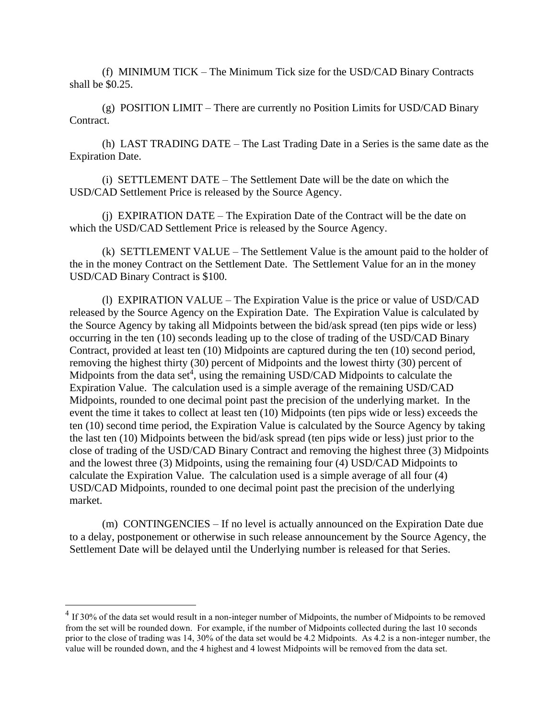(f) MINIMUM TICK – The Minimum Tick size for the USD/CAD Binary Contracts shall be \$0.25.

(g) POSITION LIMIT – There are currently no Position Limits for USD/CAD Binary Contract.

(h) LAST TRADING DATE – The Last Trading Date in a Series is the same date as the Expiration Date.

(i) SETTLEMENT DATE – The Settlement Date will be the date on which the USD/CAD Settlement Price is released by the Source Agency.

(j) EXPIRATION DATE – The Expiration Date of the Contract will be the date on which the USD/CAD Settlement Price is released by the Source Agency.

(k) SETTLEMENT VALUE – The Settlement Value is the amount paid to the holder of the in the money Contract on the Settlement Date. The Settlement Value for an in the money USD/CAD Binary Contract is \$100.

(l) EXPIRATION VALUE – The Expiration Value is the price or value of USD/CAD released by the Source Agency on the Expiration Date. The Expiration Value is calculated by the Source Agency by taking all Midpoints between the bid/ask spread (ten pips wide or less) occurring in the ten (10) seconds leading up to the close of trading of the USD/CAD Binary Contract, provided at least ten (10) Midpoints are captured during the ten (10) second period, removing the highest thirty (30) percent of Midpoints and the lowest thirty (30) percent of Midpoints from the data set<sup>4</sup>, using the remaining USD/CAD Midpoints to calculate the Expiration Value. The calculation used is a simple average of the remaining USD/CAD Midpoints, rounded to one decimal point past the precision of the underlying market. In the event the time it takes to collect at least ten (10) Midpoints (ten pips wide or less) exceeds the ten (10) second time period, the Expiration Value is calculated by the Source Agency by taking the last ten (10) Midpoints between the bid/ask spread (ten pips wide or less) just prior to the close of trading of the USD/CAD Binary Contract and removing the highest three (3) Midpoints and the lowest three (3) Midpoints, using the remaining four (4) USD/CAD Midpoints to calculate the Expiration Value. The calculation used is a simple average of all four (4) USD/CAD Midpoints, rounded to one decimal point past the precision of the underlying market.

(m) CONTINGENCIES – If no level is actually announced on the Expiration Date due to a delay, postponement or otherwise in such release announcement by the Source Agency, the Settlement Date will be delayed until the Underlying number is released for that Series.

 $4$  If 30% of the data set would result in a non-integer number of Midpoints, the number of Midpoints to be removed from the set will be rounded down. For example, if the number of Midpoints collected during the last 10 seconds prior to the close of trading was 14, 30% of the data set would be 4.2 Midpoints. As 4.2 is a non-integer number, the value will be rounded down, and the 4 highest and 4 lowest Midpoints will be removed from the data set.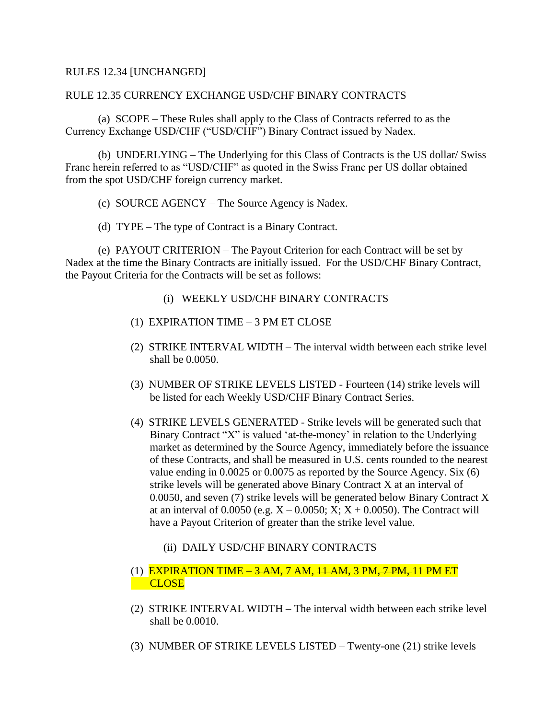# RULES 12.34 [UNCHANGED]

### RULE 12.35 CURRENCY EXCHANGE USD/CHF BINARY CONTRACTS

(a) SCOPE – These Rules shall apply to the Class of Contracts referred to as the Currency Exchange USD/CHF ("USD/CHF") Binary Contract issued by Nadex.

(b) UNDERLYING – The Underlying for this Class of Contracts is the US dollar/ Swiss Franc herein referred to as "USD/CHF" as quoted in the Swiss Franc per US dollar obtained from the spot USD/CHF foreign currency market.

- (c) SOURCE AGENCY The Source Agency is Nadex.
- (d) TYPE The type of Contract is a Binary Contract.

(e) PAYOUT CRITERION – The Payout Criterion for each Contract will be set by Nadex at the time the Binary Contracts are initially issued. For the USD/CHF Binary Contract, the Payout Criteria for the Contracts will be set as follows:

- (i) WEEKLY USD/CHF BINARY CONTRACTS
- (1) EXPIRATION TIME 3 PM ET CLOSE
- (2) STRIKE INTERVAL WIDTH The interval width between each strike level shall be 0.0050.
- (3) NUMBER OF STRIKE LEVELS LISTED Fourteen (14) strike levels will be listed for each Weekly USD/CHF Binary Contract Series.
- (4) STRIKE LEVELS GENERATED Strike levels will be generated such that Binary Contract "X" is valued 'at-the-money' in relation to the Underlying market as determined by the Source Agency, immediately before the issuance of these Contracts, and shall be measured in U.S. cents rounded to the nearest value ending in 0.0025 or 0.0075 as reported by the Source Agency. Six (6) strike levels will be generated above Binary Contract X at an interval of 0.0050, and seven (7) strike levels will be generated below Binary Contract X at an interval of 0.0050 (e.g.  $X - 0.0050$ ;  $X$ ;  $X + 0.0050$ ). The Contract will have a Payout Criterion of greater than the strike level value.
	- (ii) DAILY USD/CHF BINARY CONTRACTS

# (1) EXPIRATION TIME  $-3$  AM, 7 AM, 11 AM, 3 PM, 7 PM, 11 PM ET **CLOSE**

- (2) STRIKE INTERVAL WIDTH The interval width between each strike level shall be 0.0010.
- (3) NUMBER OF STRIKE LEVELS LISTED Twenty-one (21) strike levels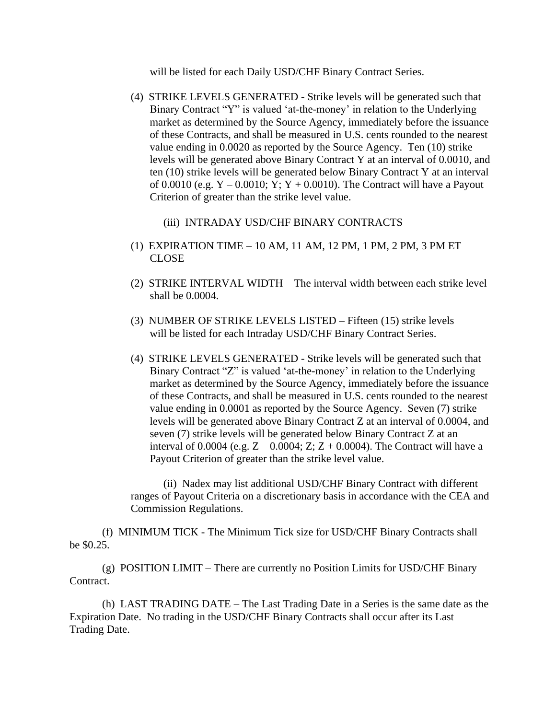will be listed for each Daily USD/CHF Binary Contract Series.

- (4) STRIKE LEVELS GENERATED Strike levels will be generated such that Binary Contract "Y" is valued 'at-the-money' in relation to the Underlying market as determined by the Source Agency, immediately before the issuance of these Contracts, and shall be measured in U.S. cents rounded to the nearest value ending in 0.0020 as reported by the Source Agency. Ten (10) strike levels will be generated above Binary Contract Y at an interval of 0.0010, and ten (10) strike levels will be generated below Binary Contract Y at an interval of 0.0010 (e.g.  $Y - 0.0010$ ;  $Y$ ;  $Y + 0.0010$ ). The Contract will have a Payout Criterion of greater than the strike level value.
	- (iii) INTRADAY USD/CHF BINARY CONTRACTS
- (1) EXPIRATION TIME 10 AM, 11 AM, 12 PM, 1 PM, 2 PM, 3 PM ET CLOSE
- (2) STRIKE INTERVAL WIDTH The interval width between each strike level shall be 0.0004.
- (3) NUMBER OF STRIKE LEVELS LISTED Fifteen (15) strike levels will be listed for each Intraday USD/CHF Binary Contract Series.
- (4) STRIKE LEVELS GENERATED Strike levels will be generated such that Binary Contract "Z" is valued 'at-the-money' in relation to the Underlying market as determined by the Source Agency, immediately before the issuance of these Contracts, and shall be measured in U.S. cents rounded to the nearest value ending in 0.0001 as reported by the Source Agency. Seven (7) strike levels will be generated above Binary Contract Z at an interval of 0.0004, and seven (7) strike levels will be generated below Binary Contract Z at an interval of 0.0004 (e.g.  $Z - 0.0004$ ;  $Z$ ;  $Z + 0.0004$ ). The Contract will have a Payout Criterion of greater than the strike level value.

(ii) Nadex may list additional USD/CHF Binary Contract with different ranges of Payout Criteria on a discretionary basis in accordance with the CEA and Commission Regulations.

(f) MINIMUM TICK - The Minimum Tick size for USD/CHF Binary Contracts shall be \$0.25.

(g) POSITION LIMIT – There are currently no Position Limits for USD/CHF Binary Contract.

(h) LAST TRADING DATE – The Last Trading Date in a Series is the same date as the Expiration Date. No trading in the USD/CHF Binary Contracts shall occur after its Last Trading Date.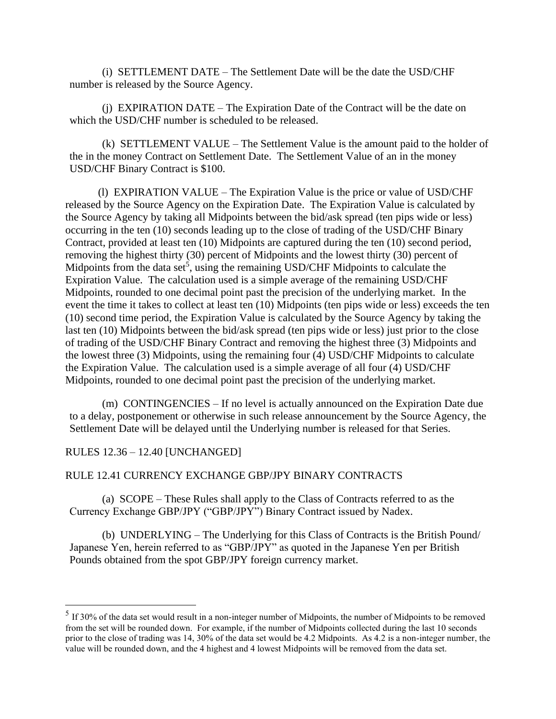(i) SETTLEMENT DATE – The Settlement Date will be the date the USD/CHF number is released by the Source Agency.

(j) EXPIRATION DATE – The Expiration Date of the Contract will be the date on which the USD/CHF number is scheduled to be released.

(k) SETTLEMENT VALUE – The Settlement Value is the amount paid to the holder of the in the money Contract on Settlement Date. The Settlement Value of an in the money USD/CHF Binary Contract is \$100.

(l) EXPIRATION VALUE – The Expiration Value is the price or value of USD/CHF released by the Source Agency on the Expiration Date. The Expiration Value is calculated by the Source Agency by taking all Midpoints between the bid/ask spread (ten pips wide or less) occurring in the ten (10) seconds leading up to the close of trading of the USD/CHF Binary Contract, provided at least ten (10) Midpoints are captured during the ten (10) second period, removing the highest thirty (30) percent of Midpoints and the lowest thirty (30) percent of Midpoints from the data set<sup>5</sup>, using the remaining USD/CHF Midpoints to calculate the Expiration Value. The calculation used is a simple average of the remaining USD/CHF Midpoints, rounded to one decimal point past the precision of the underlying market. In the event the time it takes to collect at least ten (10) Midpoints (ten pips wide or less) exceeds the ten (10) second time period, the Expiration Value is calculated by the Source Agency by taking the last ten (10) Midpoints between the bid/ask spread (ten pips wide or less) just prior to the close of trading of the USD/CHF Binary Contract and removing the highest three (3) Midpoints and the lowest three (3) Midpoints, using the remaining four (4) USD/CHF Midpoints to calculate the Expiration Value. The calculation used is a simple average of all four (4) USD/CHF Midpoints, rounded to one decimal point past the precision of the underlying market.

(m) CONTINGENCIES – If no level is actually announced on the Expiration Date due to a delay, postponement or otherwise in such release announcement by the Source Agency, the Settlement Date will be delayed until the Underlying number is released for that Series.

### RULES 12.36 – 12.40 [UNCHANGED]

# RULE 12.41 CURRENCY EXCHANGE GBP/JPY BINARY CONTRACTS

(a) SCOPE – These Rules shall apply to the Class of Contracts referred to as the Currency Exchange GBP/JPY ("GBP/JPY") Binary Contract issued by Nadex.

(b) UNDERLYING – The Underlying for this Class of Contracts is the British Pound/ Japanese Yen, herein referred to as "GBP/JPY" as quoted in the Japanese Yen per British Pounds obtained from the spot GBP/JPY foreign currency market.

 $<sup>5</sup>$  If 30% of the data set would result in a non-integer number of Midpoints, the number of Midpoints to be removed</sup> from the set will be rounded down. For example, if the number of Midpoints collected during the last 10 seconds prior to the close of trading was 14, 30% of the data set would be 4.2 Midpoints. As 4.2 is a non-integer number, the value will be rounded down, and the 4 highest and 4 lowest Midpoints will be removed from the data set.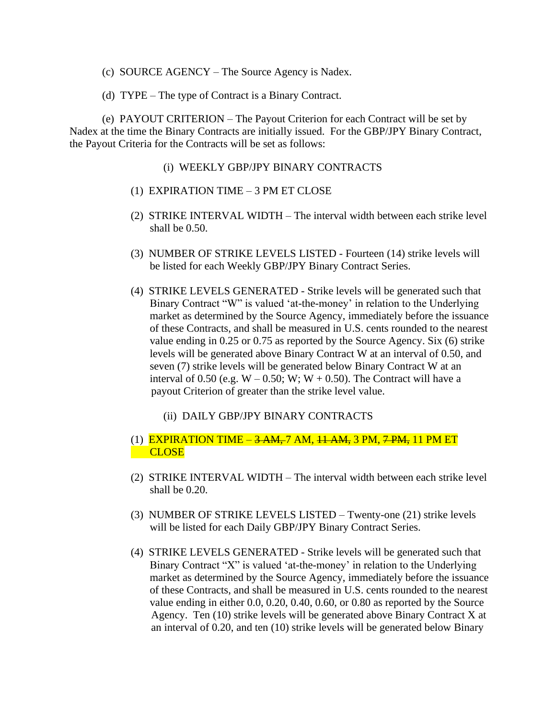- (c) SOURCE AGENCY The Source Agency is Nadex.
- (d) TYPE The type of Contract is a Binary Contract.

(e) PAYOUT CRITERION – The Payout Criterion for each Contract will be set by Nadex at the time the Binary Contracts are initially issued. For the GBP/JPY Binary Contract, the Payout Criteria for the Contracts will be set as follows:

- (i) WEEKLY GBP/JPY BINARY CONTRACTS
- (1) EXPIRATION TIME 3 PM ET CLOSE
- (2) STRIKE INTERVAL WIDTH The interval width between each strike level shall be 0.50.
- (3) NUMBER OF STRIKE LEVELS LISTED Fourteen (14) strike levels will be listed for each Weekly GBP/JPY Binary Contract Series.
- (4) STRIKE LEVELS GENERATED Strike levels will be generated such that Binary Contract "W" is valued 'at-the-money' in relation to the Underlying market as determined by the Source Agency, immediately before the issuance of these Contracts, and shall be measured in U.S. cents rounded to the nearest value ending in 0.25 or 0.75 as reported by the Source Agency. Six (6) strike levels will be generated above Binary Contract W at an interval of 0.50, and seven (7) strike levels will be generated below Binary Contract W at an interval of 0.50 (e.g.  $W - 0.50$ ; W;  $W + 0.50$ ). The Contract will have a payout Criterion of greater than the strike level value.
	- (ii) DAILY GBP/JPY BINARY CONTRACTS
- (1) EXPIRATION TIME  $-3$  AM, 7 AM,  $11$  AM, 3 PM,  $7$  PM, 11 PM ET **CLOSE**
- (2) STRIKE INTERVAL WIDTH The interval width between each strike level shall be 0.20.
- (3) NUMBER OF STRIKE LEVELS LISTED Twenty-one (21) strike levels will be listed for each Daily GBP/JPY Binary Contract Series.
- (4) STRIKE LEVELS GENERATED Strike levels will be generated such that Binary Contract "X" is valued 'at-the-money' in relation to the Underlying market as determined by the Source Agency, immediately before the issuance of these Contracts, and shall be measured in U.S. cents rounded to the nearest value ending in either 0.0, 0.20, 0.40, 0.60, or 0.80 as reported by the Source Agency. Ten (10) strike levels will be generated above Binary Contract X at an interval of 0.20, and ten (10) strike levels will be generated below Binary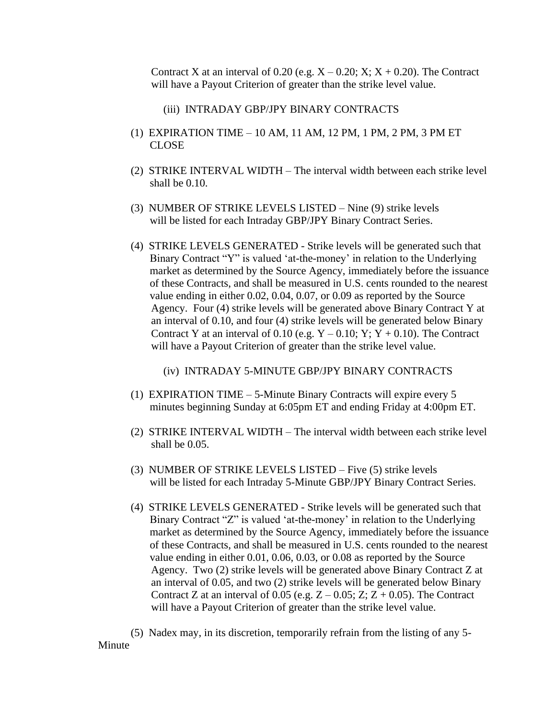Contract X at an interval of 0.20 (e.g.  $X - 0.20$ ;  $X$ ;  $X + 0.20$ ). The Contract will have a Payout Criterion of greater than the strike level value.

- (iii) INTRADAY GBP/JPY BINARY CONTRACTS
- (1) EXPIRATION TIME 10 AM, 11 AM, 12 PM, 1 PM, 2 PM, 3 PM ET CLOSE
- (2) STRIKE INTERVAL WIDTH The interval width between each strike level shall be 0.10.
- (3) NUMBER OF STRIKE LEVELS LISTED Nine (9) strike levels will be listed for each Intraday GBP/JPY Binary Contract Series.
- (4) STRIKE LEVELS GENERATED Strike levels will be generated such that Binary Contract "Y" is valued 'at-the-money' in relation to the Underlying market as determined by the Source Agency, immediately before the issuance of these Contracts, and shall be measured in U.S. cents rounded to the nearest value ending in either 0.02, 0.04, 0.07, or 0.09 as reported by the Source Agency. Four (4) strike levels will be generated above Binary Contract Y at an interval of 0.10, and four (4) strike levels will be generated below Binary Contract Y at an interval of 0.10 (e.g.  $Y - 0.10$ ; Y; Y + 0.10). The Contract will have a Payout Criterion of greater than the strike level value.

(iv) INTRADAY 5-MINUTE GBP/JPY BINARY CONTRACTS

- (1) EXPIRATION TIME 5-Minute Binary Contracts will expire every 5 minutes beginning Sunday at 6:05pm ET and ending Friday at 4:00pm ET.
- (2) STRIKE INTERVAL WIDTH The interval width between each strike level shall be 0.05.
- (3) NUMBER OF STRIKE LEVELS LISTED Five (5) strike levels will be listed for each Intraday 5-Minute GBP/JPY Binary Contract Series.
- (4) STRIKE LEVELS GENERATED Strike levels will be generated such that Binary Contract "Z" is valued 'at-the-money' in relation to the Underlying market as determined by the Source Agency, immediately before the issuance of these Contracts, and shall be measured in U.S. cents rounded to the nearest value ending in either 0.01, 0.06, 0.03, or 0.08 as reported by the Source Agency. Two (2) strike levels will be generated above Binary Contract Z at an interval of 0.05, and two (2) strike levels will be generated below Binary Contract Z at an interval of 0.05 (e.g.  $Z - 0.05$ ; Z;  $Z + 0.05$ ). The Contract will have a Payout Criterion of greater than the strike level value.

(5) Nadex may, in its discretion, temporarily refrain from the listing of any 5- Minute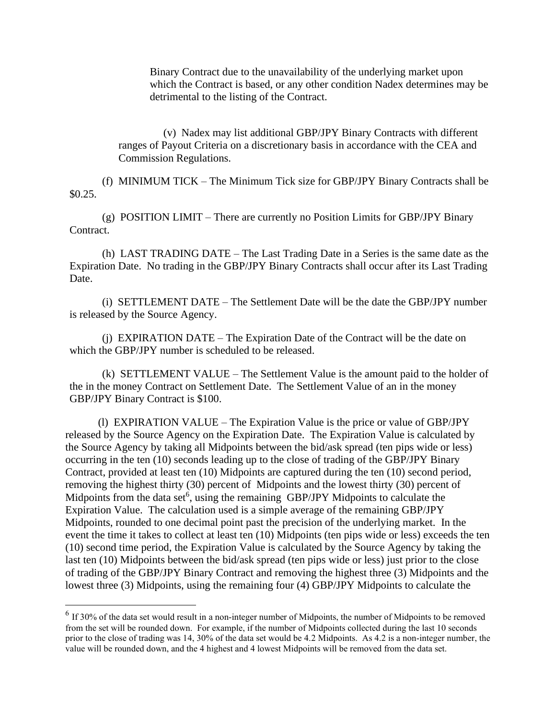Binary Contract due to the unavailability of the underlying market upon which the Contract is based, or any other condition Nadex determines may be detrimental to the listing of the Contract.

(v) Nadex may list additional GBP/JPY Binary Contracts with different ranges of Payout Criteria on a discretionary basis in accordance with the CEA and Commission Regulations.

(f) MINIMUM TICK – The Minimum Tick size for GBP/JPY Binary Contracts shall be \$0.25.

(g) POSITION LIMIT – There are currently no Position Limits for GBP/JPY Binary Contract.

(h) LAST TRADING DATE – The Last Trading Date in a Series is the same date as the Expiration Date. No trading in the GBP/JPY Binary Contracts shall occur after its Last Trading Date.

(i) SETTLEMENT DATE – The Settlement Date will be the date the GBP/JPY number is released by the Source Agency.

(j) EXPIRATION DATE – The Expiration Date of the Contract will be the date on which the GBP/JPY number is scheduled to be released.

(k) SETTLEMENT VALUE – The Settlement Value is the amount paid to the holder of the in the money Contract on Settlement Date. The Settlement Value of an in the money GBP/JPY Binary Contract is \$100.

(l) EXPIRATION VALUE – The Expiration Value is the price or value of GBP/JPY released by the Source Agency on the Expiration Date. The Expiration Value is calculated by the Source Agency by taking all Midpoints between the bid/ask spread (ten pips wide or less) occurring in the ten (10) seconds leading up to the close of trading of the GBP/JPY Binary Contract, provided at least ten (10) Midpoints are captured during the ten (10) second period, removing the highest thirty (30) percent of Midpoints and the lowest thirty (30) percent of Midpoints from the data set<sup>6</sup>, using the remaining GBP/JPY Midpoints to calculate the Expiration Value. The calculation used is a simple average of the remaining GBP/JPY Midpoints, rounded to one decimal point past the precision of the underlying market. In the event the time it takes to collect at least ten (10) Midpoints (ten pips wide or less) exceeds the ten (10) second time period, the Expiration Value is calculated by the Source Agency by taking the last ten (10) Midpoints between the bid/ask spread (ten pips wide or less) just prior to the close of trading of the GBP/JPY Binary Contract and removing the highest three (3) Midpoints and the lowest three (3) Midpoints, using the remaining four (4) GBP/JPY Midpoints to calculate the

 $<sup>6</sup>$  If 30% of the data set would result in a non-integer number of Midpoints, the number of Midpoints to be removed</sup> from the set will be rounded down. For example, if the number of Midpoints collected during the last 10 seconds prior to the close of trading was 14, 30% of the data set would be 4.2 Midpoints. As 4.2 is a non-integer number, the value will be rounded down, and the 4 highest and 4 lowest Midpoints will be removed from the data set.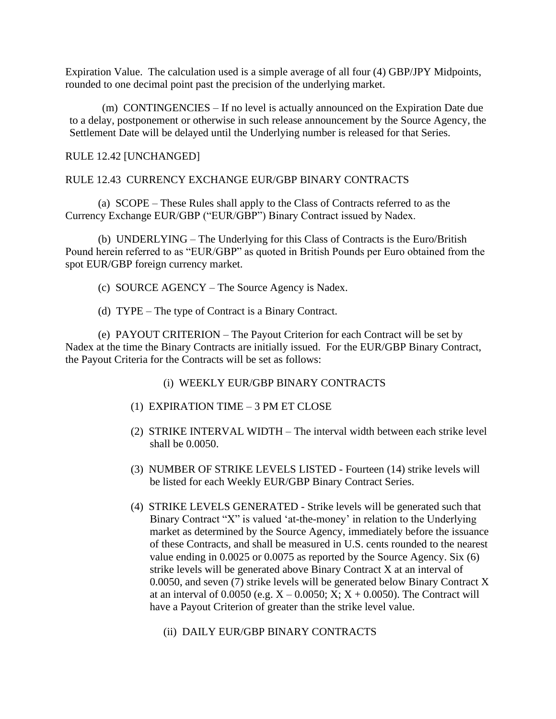Expiration Value. The calculation used is a simple average of all four (4) GBP/JPY Midpoints, rounded to one decimal point past the precision of the underlying market.

(m) CONTINGENCIES – If no level is actually announced on the Expiration Date due to a delay, postponement or otherwise in such release announcement by the Source Agency, the Settlement Date will be delayed until the Underlying number is released for that Series.

### RULE 12.42 [UNCHANGED]

# RULE 12.43 CURRENCY EXCHANGE EUR/GBP BINARY CONTRACTS

(a) SCOPE – These Rules shall apply to the Class of Contracts referred to as the Currency Exchange EUR/GBP ("EUR/GBP") Binary Contract issued by Nadex.

(b) UNDERLYING – The Underlying for this Class of Contracts is the Euro/British Pound herein referred to as "EUR/GBP" as quoted in British Pounds per Euro obtained from the spot EUR/GBP foreign currency market.

- (c) SOURCE AGENCY The Source Agency is Nadex.
- (d) TYPE The type of Contract is a Binary Contract.

(e) PAYOUT CRITERION – The Payout Criterion for each Contract will be set by Nadex at the time the Binary Contracts are initially issued. For the EUR/GBP Binary Contract, the Payout Criteria for the Contracts will be set as follows:

- (i) WEEKLY EUR/GBP BINARY CONTRACTS
- (1) EXPIRATION TIME 3 PM ET CLOSE
- (2) STRIKE INTERVAL WIDTH The interval width between each strike level shall be 0.0050.
- (3) NUMBER OF STRIKE LEVELS LISTED Fourteen (14) strike levels will be listed for each Weekly EUR/GBP Binary Contract Series.
- (4) STRIKE LEVELS GENERATED Strike levels will be generated such that Binary Contract "X" is valued 'at-the-money' in relation to the Underlying market as determined by the Source Agency, immediately before the issuance of these Contracts, and shall be measured in U.S. cents rounded to the nearest value ending in 0.0025 or 0.0075 as reported by the Source Agency. Six (6) strike levels will be generated above Binary Contract X at an interval of 0.0050, and seven (7) strike levels will be generated below Binary Contract X at an interval of 0.0050 (e.g.  $X - 0.0050$ ;  $X$ ;  $X + 0.0050$ ). The Contract will have a Payout Criterion of greater than the strike level value.
	- (ii) DAILY EUR/GBP BINARY CONTRACTS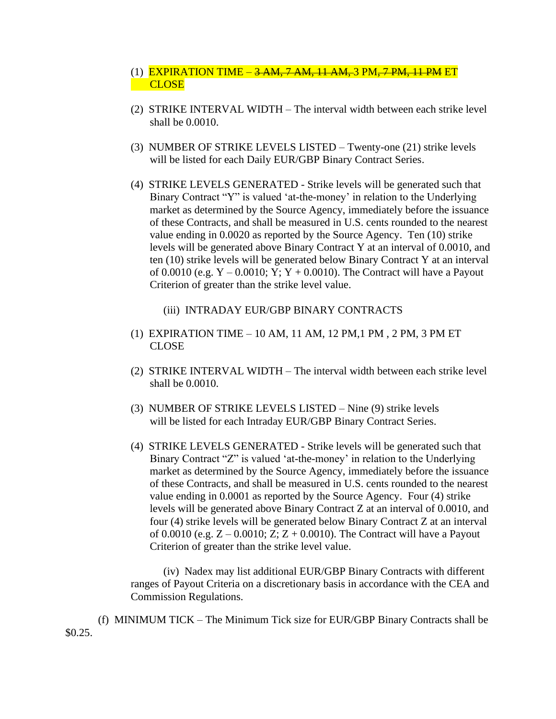# (1) EXPIRATION TIME – <del>3 AM, 7 AM, 11 AM, 3</del> PM<del>, 7 PM, 11 PM</del> ET **CLOSE**

- (2) STRIKE INTERVAL WIDTH The interval width between each strike level shall be 0.0010.
- (3) NUMBER OF STRIKE LEVELS LISTED Twenty-one (21) strike levels will be listed for each Daily EUR/GBP Binary Contract Series.
- (4) STRIKE LEVELS GENERATED Strike levels will be generated such that Binary Contract "Y" is valued 'at-the-money' in relation to the Underlying market as determined by the Source Agency, immediately before the issuance of these Contracts, and shall be measured in U.S. cents rounded to the nearest value ending in 0.0020 as reported by the Source Agency. Ten (10) strike levels will be generated above Binary Contract Y at an interval of 0.0010, and ten (10) strike levels will be generated below Binary Contract Y at an interval of 0.0010 (e.g.  $Y - 0.0010$ ;  $Y$ ;  $Y + 0.0010$ ). The Contract will have a Payout Criterion of greater than the strike level value.
	- (iii) INTRADAY EUR/GBP BINARY CONTRACTS
- (1) EXPIRATION TIME 10 AM, 11 AM, 12 PM,1 PM , 2 PM, 3 PM ET CLOSE
- (2) STRIKE INTERVAL WIDTH The interval width between each strike level shall be 0.0010.
- (3) NUMBER OF STRIKE LEVELS LISTED Nine (9) strike levels will be listed for each Intraday EUR/GBP Binary Contract Series.
- (4) STRIKE LEVELS GENERATED Strike levels will be generated such that Binary Contract "Z" is valued 'at-the-money' in relation to the Underlying market as determined by the Source Agency, immediately before the issuance of these Contracts, and shall be measured in U.S. cents rounded to the nearest value ending in 0.0001 as reported by the Source Agency. Four (4) strike levels will be generated above Binary Contract Z at an interval of 0.0010, and four (4) strike levels will be generated below Binary Contract Z at an interval of 0.0010 (e.g.  $Z - 0.0010$ ;  $Z$ ;  $Z + 0.0010$ ). The Contract will have a Payout Criterion of greater than the strike level value.

(iv) Nadex may list additional EUR/GBP Binary Contracts with different ranges of Payout Criteria on a discretionary basis in accordance with the CEA and Commission Regulations.

(f) MINIMUM TICK – The Minimum Tick size for EUR/GBP Binary Contracts shall be \$0.25.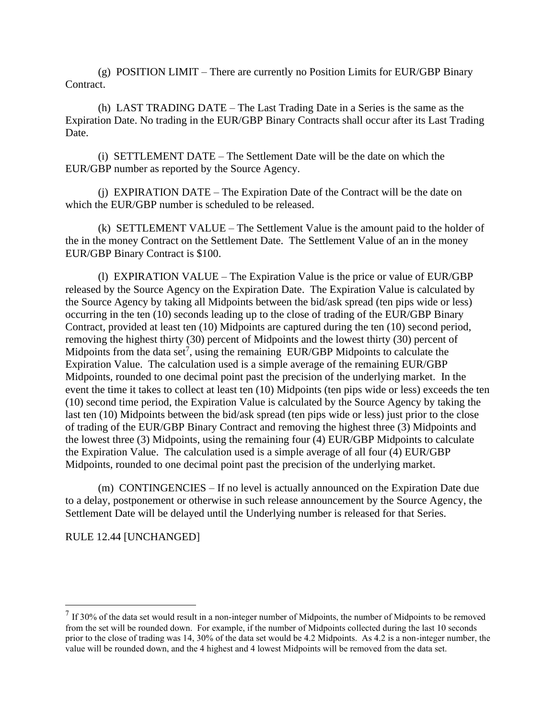$(g)$  POSITION LIMIT – There are currently no Position Limits for EUR/GBP Binary Contract.

(h) LAST TRADING DATE – The Last Trading Date in a Series is the same as the Expiration Date. No trading in the EUR/GBP Binary Contracts shall occur after its Last Trading Date.

(i) SETTLEMENT DATE – The Settlement Date will be the date on which the EUR/GBP number as reported by the Source Agency.

(j) EXPIRATION DATE – The Expiration Date of the Contract will be the date on which the EUR/GBP number is scheduled to be released.

(k) SETTLEMENT VALUE – The Settlement Value is the amount paid to the holder of the in the money Contract on the Settlement Date. The Settlement Value of an in the money EUR/GBP Binary Contract is \$100.

(l) EXPIRATION VALUE – The Expiration Value is the price or value of EUR/GBP released by the Source Agency on the Expiration Date. The Expiration Value is calculated by the Source Agency by taking all Midpoints between the bid/ask spread (ten pips wide or less) occurring in the ten (10) seconds leading up to the close of trading of the EUR/GBP Binary Contract, provided at least ten (10) Midpoints are captured during the ten (10) second period, removing the highest thirty (30) percent of Midpoints and the lowest thirty (30) percent of Midpoints from the data set<sup>7</sup>, using the remaining EUR/GBP Midpoints to calculate the Expiration Value. The calculation used is a simple average of the remaining EUR/GBP Midpoints, rounded to one decimal point past the precision of the underlying market. In the event the time it takes to collect at least ten (10) Midpoints (ten pips wide or less) exceeds the ten (10) second time period, the Expiration Value is calculated by the Source Agency by taking the last ten (10) Midpoints between the bid/ask spread (ten pips wide or less) just prior to the close of trading of the EUR/GBP Binary Contract and removing the highest three (3) Midpoints and the lowest three (3) Midpoints, using the remaining four (4) EUR/GBP Midpoints to calculate the Expiration Value. The calculation used is a simple average of all four (4) EUR/GBP Midpoints, rounded to one decimal point past the precision of the underlying market.

(m) CONTINGENCIES – If no level is actually announced on the Expiration Date due to a delay, postponement or otherwise in such release announcement by the Source Agency, the Settlement Date will be delayed until the Underlying number is released for that Series.

RULE 12.44 [UNCHANGED]

 $<sup>7</sup>$  If 30% of the data set would result in a non-integer number of Midpoints, the number of Midpoints to be removed</sup> from the set will be rounded down. For example, if the number of Midpoints collected during the last 10 seconds prior to the close of trading was 14, 30% of the data set would be 4.2 Midpoints. As 4.2 is a non-integer number, the value will be rounded down, and the 4 highest and 4 lowest Midpoints will be removed from the data set.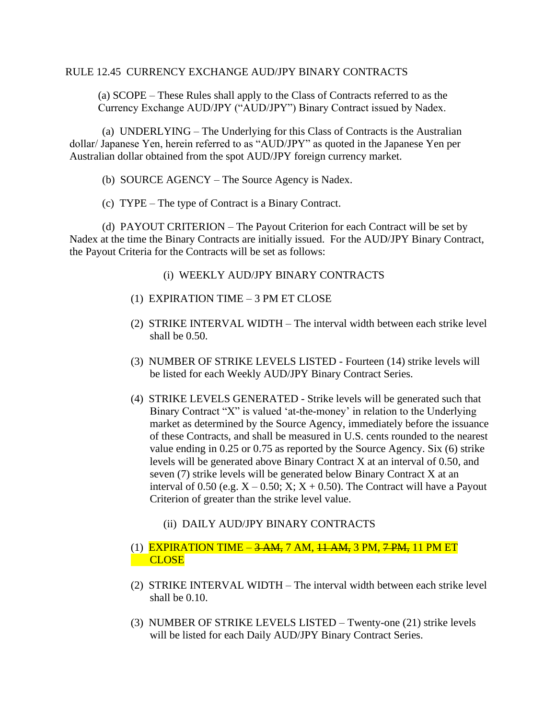### RULE 12.45 CURRENCY EXCHANGE AUD/JPY BINARY CONTRACTS

(a) SCOPE – These Rules shall apply to the Class of Contracts referred to as the Currency Exchange AUD/JPY ("AUD/JPY") Binary Contract issued by Nadex.

(a) UNDERLYING – The Underlying for this Class of Contracts is the Australian dollar/ Japanese Yen, herein referred to as "AUD/JPY" as quoted in the Japanese Yen per Australian dollar obtained from the spot AUD/JPY foreign currency market.

- (b) SOURCE AGENCY The Source Agency is Nadex.
- (c) TYPE The type of Contract is a Binary Contract.

(d) PAYOUT CRITERION – The Payout Criterion for each Contract will be set by Nadex at the time the Binary Contracts are initially issued. For the AUD/JPY Binary Contract, the Payout Criteria for the Contracts will be set as follows:

- (i) WEEKLY AUD/JPY BINARY CONTRACTS
- (1) EXPIRATION TIME 3 PM ET CLOSE
- (2) STRIKE INTERVAL WIDTH The interval width between each strike level shall be 0.50.
- (3) NUMBER OF STRIKE LEVELS LISTED Fourteen (14) strike levels will be listed for each Weekly AUD/JPY Binary Contract Series.
- (4) STRIKE LEVELS GENERATED Strike levels will be generated such that Binary Contract "X" is valued 'at-the-money' in relation to the Underlying market as determined by the Source Agency, immediately before the issuance of these Contracts, and shall be measured in U.S. cents rounded to the nearest value ending in 0.25 or 0.75 as reported by the Source Agency. Six (6) strike levels will be generated above Binary Contract X at an interval of 0.50, and seven (7) strike levels will be generated below Binary Contract X at an interval of 0.50 (e.g.  $X - 0.50$ ;  $X$ ;  $X + 0.50$ ). The Contract will have a Payout Criterion of greater than the strike level value.
	- (ii) DAILY AUD/JPY BINARY CONTRACTS

# (1) EXPIRATION TIME  $-3$  AM, 7 AM,  $11$  AM, 3 PM,  $7$  PM, 11 PM ET **CLOSE**

- (2) STRIKE INTERVAL WIDTH The interval width between each strike level shall be 0.10.
- (3) NUMBER OF STRIKE LEVELS LISTED Twenty-one (21) strike levels will be listed for each Daily AUD/JPY Binary Contract Series.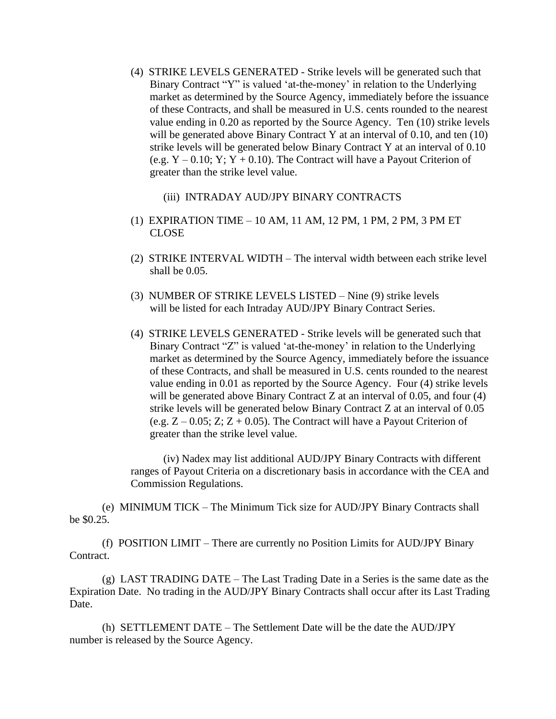- (4) STRIKE LEVELS GENERATED Strike levels will be generated such that Binary Contract "Y" is valued 'at-the-money' in relation to the Underlying market as determined by the Source Agency, immediately before the issuance of these Contracts, and shall be measured in U.S. cents rounded to the nearest value ending in 0.20 as reported by the Source Agency. Ten (10) strike levels will be generated above Binary Contract Y at an interval of 0.10, and ten (10) strike levels will be generated below Binary Contract Y at an interval of 0.10 (e.g.  $Y - 0.10$ ;  $Y$ ;  $Y + 0.10$ ). The Contract will have a Payout Criterion of greater than the strike level value.
	- (iii) INTRADAY AUD/JPY BINARY CONTRACTS
- (1) EXPIRATION TIME 10 AM, 11 AM, 12 PM, 1 PM, 2 PM, 3 PM ET CLOSE
- (2) STRIKE INTERVAL WIDTH The interval width between each strike level shall be 0.05.
- (3) NUMBER OF STRIKE LEVELS LISTED Nine (9) strike levels will be listed for each Intraday AUD/JPY Binary Contract Series.
- (4) STRIKE LEVELS GENERATED Strike levels will be generated such that Binary Contract "Z" is valued 'at-the-money' in relation to the Underlying market as determined by the Source Agency, immediately before the issuance of these Contracts, and shall be measured in U.S. cents rounded to the nearest value ending in 0.01 as reported by the Source Agency. Four (4) strike levels will be generated above Binary Contract Z at an interval of 0.05, and four (4) strike levels will be generated below Binary Contract Z at an interval of 0.05 (e.g.  $Z - 0.05$ ;  $Z$ ;  $Z + 0.05$ ). The Contract will have a Payout Criterion of greater than the strike level value.

(iv) Nadex may list additional AUD/JPY Binary Contracts with different ranges of Payout Criteria on a discretionary basis in accordance with the CEA and Commission Regulations.

(e) MINIMUM TICK – The Minimum Tick size for AUD/JPY Binary Contracts shall be \$0.25.

(f) POSITION LIMIT – There are currently no Position Limits for AUD/JPY Binary Contract.

(g) LAST TRADING DATE – The Last Trading Date in a Series is the same date as the Expiration Date. No trading in the AUD/JPY Binary Contracts shall occur after its Last Trading Date.

(h) SETTLEMENT DATE – The Settlement Date will be the date the AUD/JPY number is released by the Source Agency.